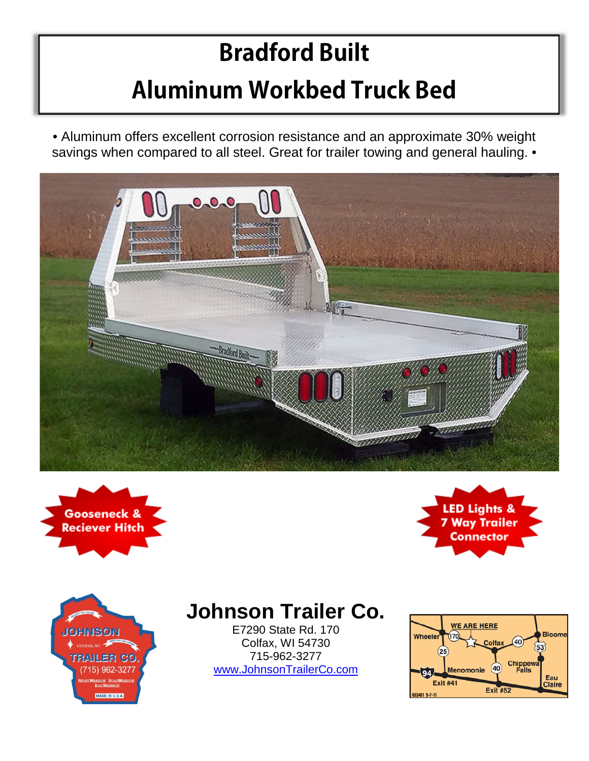## **Bradford Built Aluminum Workbed Truck Bed**

• Aluminum offers excellent corrosion resistance and an approximate 30% weight savings when compared to all steel. Great for trailer towing and general hauling. •









## **Johnson Trailer Co.**

E7290 State Rd. 170 Colfax, WI 54730 715-962-3277 [www.JohnsonTrailerCo.com](http://www.johnsontrailerco.com/)